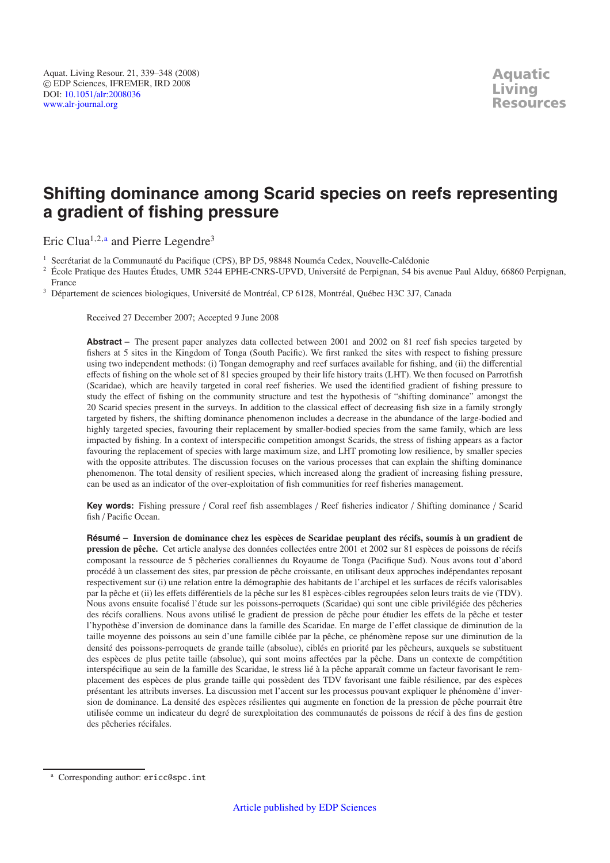# **Shifting dominance among Scarid species on reefs representing a gradient of fishing pressure**

Eric Clua<sup>1,2,a</sup> and Pierre Legendre<sup>3</sup>

<sup>1</sup> Secrétariat de la Communauté du Pacifique (CPS), BP D5, 98848 Nouméa Cedex, Nouvelle-Calédonie

<sup>2</sup> École Pratique des Hautes Études, UMR 5244 EPHE-CNRS-UPVD, Université de Perpignan, 54 bis avenue Paul Alduy, 66860 Perpignan, France

<sup>3</sup> Département de sciences biologiques, Université de Montréal, CP 6128, Montréal, Québec H3C 3J7, Canada

Received 27 December 2007; Accepted 9 June 2008

Abstract – The present paper analyzes data collected between 2001 and 2002 on 81 reef fish species targeted by fishers at 5 sites in the Kingdom of Tonga (South Pacific). We first ranked the sites with respect to fishing pressure using two independent methods: (i) Tongan demography and reef surfaces available for fishing, and (ii) the differential effects of fishing on the whole set of 81 species grouped by their life history traits (LHT). We then focused on Parrotfish (Scaridae), which are heavily targeted in coral reef fisheries. We used the identified gradient of fishing pressure to study the effect of fishing on the community structure and test the hypothesis of "shifting dominance" amongst the 20 Scarid species present in the surveys. In addition to the classical effect of decreasing fish size in a family strongly targeted by fishers, the shifting dominance phenomenon includes a decrease in the abundance of the large-bodied and highly targeted species, favouring their replacement by smaller-bodied species from the same family, which are less impacted by fishing. In a context of interspecific competition amongst Scarids, the stress of fishing appears as a factor favouring the replacement of species with large maximum size, and LHT promoting low resilience, by smaller species with the opposite attributes. The discussion focuses on the various processes that can explain the shifting dominance phenomenon. The total density of resilient species, which increased along the gradient of increasing fishing pressure, can be used as an indicator of the over-exploitation of fish communities for reef fisheries management.

**Key words:** Fishing pressure / Coral reef fish assemblages / Reef fisheries indicator / Shifting dominance / Scarid fish / Pacific Ocean.

**Résumé – Inversion de dominance chez les espèces de Scaridae peuplant des récifs, soumis à un gradient de pression de pêche.** Cet article analyse des données collectées entre 2001 et 2002 sur 81 espèces de poissons de récifs composant la ressource de 5 pêcheries coralliennes du Royaume de Tonga (Pacifique Sud). Nous avons tout d'abord procédé à un classement des sites, par pression de pêche croissante, en utilisant deux approches indépendantes reposant respectivement sur (i) une relation entre la démographie des habitants de l'archipel et les surfaces de récifs valorisables par la pêche et (ii) les effets différentiels de la pêche sur les 81 espèces-cibles regroupées selon leurs traits de vie (TDV). Nous avons ensuite focalisé l'étude sur les poissons-perroquets (Scaridae) qui sont une cible privilégiée des pêcheries des récifs coralliens. Nous avons utilisé le gradient de pression de pêche pour étudier les effets de la pêche et tester l'hypothèse d'inversion de dominance dans la famille des Scaridae. En marge de l'effet classique de diminution de la taille moyenne des poissons au sein d'une famille ciblée par la pêche, ce phénomène repose sur une diminution de la densité des poissons-perroquets de grande taille (absolue), ciblés en priorité par les pêcheurs, auxquels se substituent des espèces de plus petite taille (absolue), qui sont moins affectées par la pêche. Dans un contexte de compétition interspécifique au sein de la famille des Scaridae, le stress lié à la pêche apparaît comme un facteur favorisant le remplacement des espèces de plus grande taille qui possèdent des TDV favorisant une faible résilience, par des espèces présentant les attributs inverses. La discussion met l'accent sur les processus pouvant expliquer le phénomène d'inversion de dominance. La densité des espèces résilientes qui augmente en fonction de la pression de pêche pourrait être utilisée comme un indicateur du degré de surexploitation des communautés de poissons de récif à des fins de gestion des pêcheries récifales.

<sup>a</sup> Corresponding author: ericc@spc.int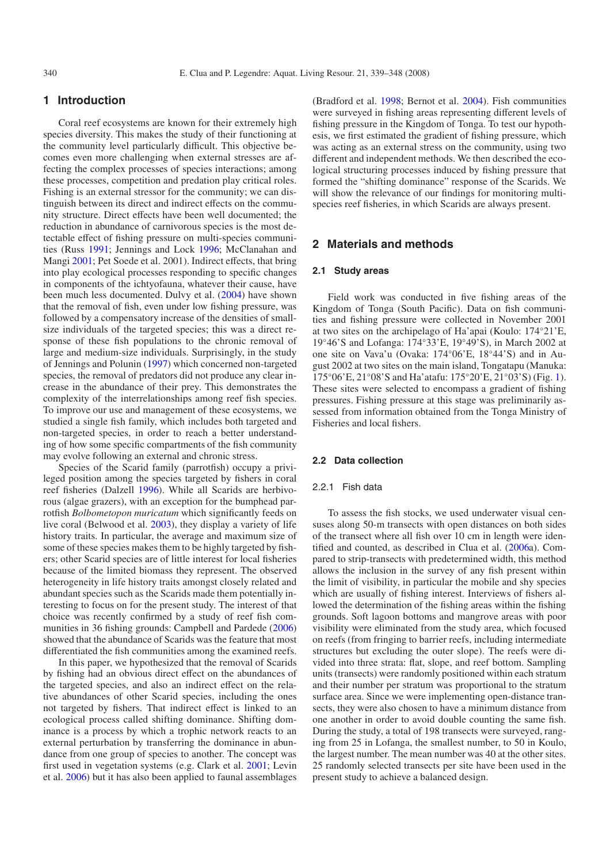# **1 Introduction**

Coral reef ecosystems are known for their extremely high species diversity. This makes the study of their functioning at the community level particularly difficult. This objective becomes even more challenging when external stresses are affecting the complex processes of species interactions; among these processes, competition and predation play critical roles. Fishing is an external stressor for the community; we can distinguish between its direct and indirect effects on the community structure. Direct effects have been well documented; the reduction in abundance of carnivorous species is the most detectable effect of fishing pressure on multi-species communities (Russ [1991](#page-9-0); Jennings and Lock [1996;](#page-9-1) McClanahan and Mangi [2001;](#page-9-2) Pet Soede et al. 2001). Indirect effects, that bring into play ecological processes responding to specific changes in components of the ichtyofauna, whatever their cause, have been much less documented. Dulvy et al. [\(2004\)](#page-9-3) have shown that the removal of fish, even under low fishing pressure, was followed by a compensatory increase of the densities of smallsize individuals of the targeted species; this was a direct response of these fish populations to the chronic removal of large and medium-size individuals. Surprisingly, in the study of Jennings and Polunin [\(1997\)](#page-9-4) which concerned non-targeted species, the removal of predators did not produce any clear increase in the abundance of their prey. This demonstrates the complexity of the interrelationships among reef fish species. To improve our use and management of these ecosystems, we studied a single fish family, which includes both targeted and non-targeted species, in order to reach a better understanding of how some specific compartments of the fish community may evolve following an external and chronic stress.

Species of the Scarid family (parrotfish) occupy a privileged position among the species targeted by fishers in coral reef fisheries (Dalzell [1996\)](#page-9-5). While all Scarids are herbivorous (algae grazers), with an exception for the bumphead parrotfish *Bolbometopon muricatum* which significantly feeds on live coral (Belwood et al. [2003\)](#page-8-0), they display a variety of life history traits. In particular, the average and maximum size of some of these species makes them to be highly targeted by fishers; other Scarid species are of little interest for local fisheries because of the limited biomass they represent. The observed heterogeneity in life history traits amongst closely related and abundant species such as the Scarids made them potentially interesting to focus on for the present study. The interest of that choice was recently confirmed by a study of reef fish communities in 36 fishing grounds: Campbell and Pardede [\(2006](#page-9-6)) showed that the abundance of Scarids was the feature that most differentiated the fish communities among the examined reefs.

In this paper, we hypothesized that the removal of Scarids by fishing had an obvious direct effect on the abundances of the targeted species, and also an indirect effect on the relative abundances of other Scarid species, including the ones not targeted by fishers. That indirect effect is linked to an ecological process called shifting dominance. Shifting dominance is a process by which a trophic network reacts to an external perturbation by transferring the dominance in abundance from one group of species to another. The concept was first used in vegetation systems (e.g. Clark et al. [2001;](#page-9-7) Levin et al. [2006](#page-9-8)) but it has also been applied to faunal assemblages

(Bradford et al. [1998](#page-8-1); Bernot et al. [2004](#page-8-2)). Fish communities were surveyed in fishing areas representing different levels of fishing pressure in the Kingdom of Tonga. To test our hypothesis, we first estimated the gradient of fishing pressure, which was acting as an external stress on the community, using two different and independent methods. We then described the ecological structuring processes induced by fishing pressure that formed the "shifting dominance" response of the Scarids. We will show the relevance of our findings for monitoring multispecies reef fisheries, in which Scarids are always present.

# **2 Materials and methods**

#### **2.1 Study areas**

Field work was conducted in five fishing areas of the Kingdom of Tonga (South Pacific). Data on fish communities and fishing pressure were collected in November 2001 at two sites on the archipelago of Ha'apai (Koulo: 174◦21'E, 19◦46'S and Lofanga: 174◦33'E, 19◦49'S), in March 2002 at one site on Vava'u (Ovaka: 174◦06'E, 18◦44'S) and in August 2002 at two sites on the main island, Tongatapu (Manuka: 175◦06'E, 21◦08'S and Ha'atafu: 175◦20'E, 21◦03'S) (Fig. [1\)](#page-2-0). These sites were selected to encompass a gradient of fishing pressures. Fishing pressure at this stage was preliminarily assessed from information obtained from the Tonga Ministry of Fisheries and local fishers.

#### **2.2 Data collection**

# 2.2.1 Fish data

To assess the fish stocks, we used underwater visual censuses along 50-m transects with open distances on both sides of the transect where all fish over 10 cm in length were identified and counted, as described in Clua et al. [\(2006a](#page-9-9)). Compared to strip-transects with predetermined width, this method allows the inclusion in the survey of any fish present within the limit of visibility, in particular the mobile and shy species which are usually of fishing interest. Interviews of fishers allowed the determination of the fishing areas within the fishing grounds. Soft lagoon bottoms and mangrove areas with poor visibility were eliminated from the study area, which focused on reefs (from fringing to barrier reefs, including intermediate structures but excluding the outer slope). The reefs were divided into three strata: flat, slope, and reef bottom. Sampling units (transects) were randomly positioned within each stratum and their number per stratum was proportional to the stratum surface area. Since we were implementing open-distance transects, they were also chosen to have a minimum distance from one another in order to avoid double counting the same fish. During the study, a total of 198 transects were surveyed, ranging from 25 in Lofanga, the smallest number, to 50 in Koulo, the largest number. The mean number was 40 at the other sites. 25 randomly selected transects per site have been used in the present study to achieve a balanced design.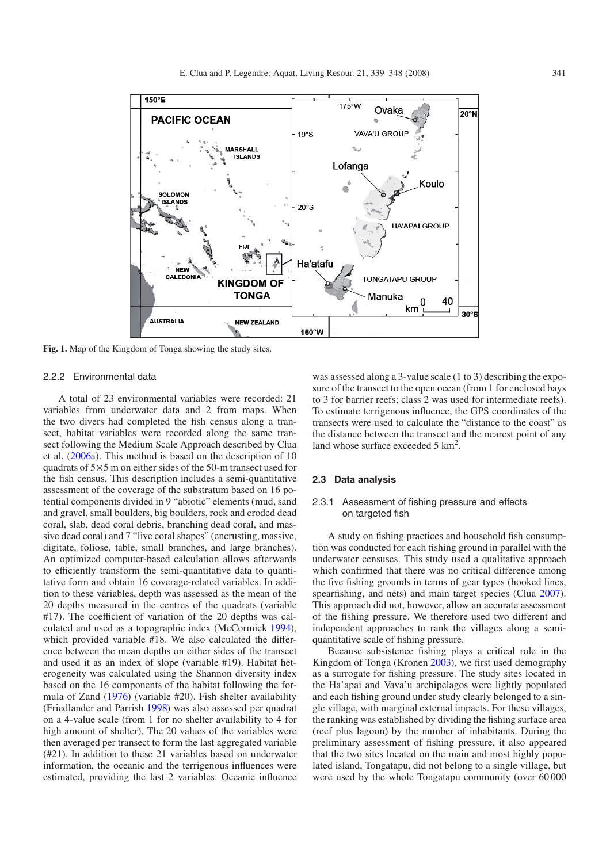

<span id="page-2-0"></span>**Fig. 1.** Map of the Kingdom of Tonga showing the study sites.

#### 2.2.2 Environmental data

A total of 23 environmental variables were recorded: 21 variables from underwater data and 2 from maps. When the two divers had completed the fish census along a transect, habitat variables were recorded along the same transect following the Medium Scale Approach described by Clua et al. [\(2006a](#page-9-9)). This method is based on the description of 10 quadrats of 5×5 m on either sides of the 50-m transect used for the fish census. This description includes a semi-quantitative assessment of the coverage of the substratum based on 16 potential components divided in 9 "abiotic" elements (mud, sand and gravel, small boulders, big boulders, rock and eroded dead coral, slab, dead coral debris, branching dead coral, and massive dead coral) and 7 "live coral shapes" (encrusting, massive, digitate, foliose, table, small branches, and large branches). An optimized computer-based calculation allows afterwards to efficiently transform the semi-quantitative data to quantitative form and obtain 16 coverage-related variables. In addition to these variables, depth was assessed as the mean of the 20 depths measured in the centres of the quadrats (variable #17). The coefficient of variation of the 20 depths was calculated and used as a topographic index (McCormick [1994\)](#page-9-10), which provided variable #18. We also calculated the difference between the mean depths on either sides of the transect and used it as an index of slope (variable #19). Habitat heterogeneity was calculated using the Shannon diversity index based on the 16 components of the habitat following the formula of Zand [\(1976\)](#page-9-11) (variable #20). Fish shelter availability (Friedlander and Parrish [1998\)](#page-9-12) was also assessed per quadrat on a 4-value scale (from 1 for no shelter availability to 4 for high amount of shelter). The 20 values of the variables were then averaged per transect to form the last aggregated variable (#21). In addition to these 21 variables based on underwater information, the oceanic and the terrigenous influences were estimated, providing the last 2 variables. Oceanic influence

was assessed along a 3-value scale (1 to 3) describing the exposure of the transect to the open ocean (from 1 for enclosed bays to 3 for barrier reefs; class 2 was used for intermediate reefs). To estimate terrigenous influence, the GPS coordinates of the transects were used to calculate the "distance to the coast" as the distance between the transect and the nearest point of any land whose surface exceeded 5 km<sup>2</sup>.

#### **2.3 Data analysis**

# 2.3.1 Assessment of fishing pressure and effects on targeted fish

A study on fishing practices and household fish consumption was conducted for each fishing ground in parallel with the underwater censuses. This study used a qualitative approach which confirmed that there was no critical difference among the five fishing grounds in terms of gear types (hooked lines, spearfishing, and nets) and main target species (Clua [2007\)](#page-9-13). This approach did not, however, allow an accurate assessment of the fishing pressure. We therefore used two different and independent approaches to rank the villages along a semiquantitative scale of fishing pressure.

Because subsistence fishing plays a critical role in the Kingdom of Tonga (Kronen [2003\)](#page-9-14), we first used demography as a surrogate for fishing pressure. The study sites located in the Ha'apai and Vava'u archipelagos were lightly populated and each fishing ground under study clearly belonged to a single village, with marginal external impacts. For these villages, the ranking was established by dividing the fishing surface area (reef plus lagoon) by the number of inhabitants. During the preliminary assessment of fishing pressure, it also appeared that the two sites located on the main and most highly populated island, Tongatapu, did not belong to a single village, but were used by the whole Tongatapu community (over 60 000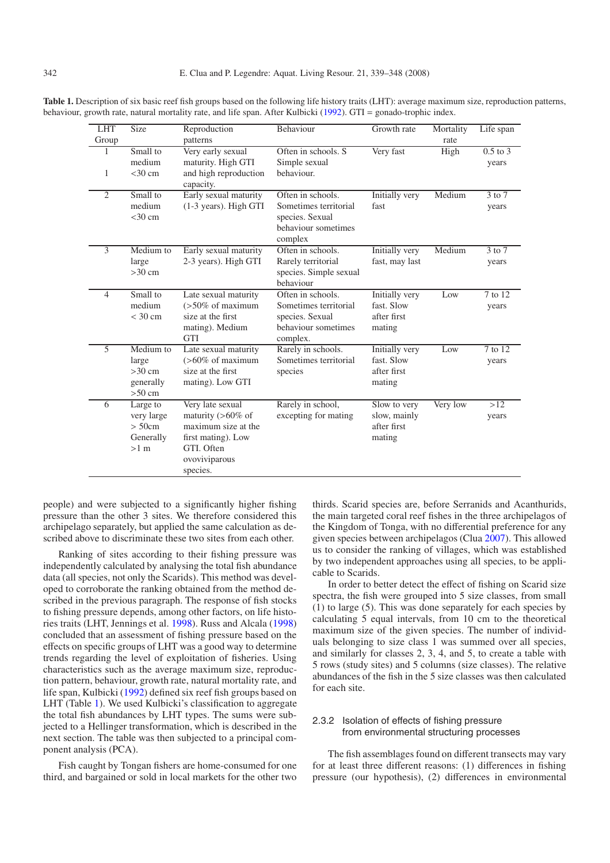| <b>LHT</b><br>Group | Size                                                    | Reproduction<br>patterns                                                                                                         | Behaviour                                                                                        | Growth rate                                                  | Mortality<br>rate | Life span             |
|---------------------|---------------------------------------------------------|----------------------------------------------------------------------------------------------------------------------------------|--------------------------------------------------------------------------------------------------|--------------------------------------------------------------|-------------------|-----------------------|
| 1<br>1              | Small to<br>medium<br>$<$ 30 cm                         | Very early sexual<br>maturity. High GTI<br>and high reproduction<br>capacity.                                                    | Often in schools. S<br>Simple sexual<br>behaviour.                                               | Very fast                                                    | High              | $0.5$ to $3$<br>years |
| $\overline{2}$      | Small to<br>medium<br>$<$ 30 cm                         | Early sexual maturity<br>(1-3 years). High GTI                                                                                   | Often in schools.<br>Sometimes territorial<br>species. Sexual<br>behaviour sometimes<br>complex  | Initially very<br>fast                                       | Medium            | 3 to 7<br>years       |
| $\overline{3}$      | Medium to<br>large<br>$>30$ cm                          | Early sexual maturity<br>2-3 years). High GTI                                                                                    | Often in schools.<br>Rarely territorial<br>species. Simple sexual<br>behaviour                   | Initially very<br>fast, may last                             | Medium            | 3 to 7<br>years       |
| $\overline{4}$      | Small to<br>medium<br>$<$ 30 cm                         | Late sexual maturity<br>$($ >50% of maximum<br>size at the first<br>mating). Medium<br><b>GTI</b>                                | Often in schools.<br>Sometimes territorial<br>species. Sexual<br>behaviour sometimes<br>complex. | Initially very<br>fast. Slow<br>after first<br>mating        | Low               | 7 to 12<br>years      |
| $\overline{5}$      | Medium to<br>large<br>$>30$ cm<br>generally<br>$>50$ cm | Late sexual maturity<br>$($ >60% of maximum<br>size at the first<br>mating). Low GTI                                             | Rarely in schools.<br>Sometimes territorial<br>species                                           | <b>Initially very</b><br>fast. Slow<br>after first<br>mating | Low               | 7 to 12<br>years      |
| 6                   | Large to<br>very large<br>> 50cm<br>Generally<br>$>1$ m | Very late sexual<br>maturity $(>60\%$ of<br>maximum size at the<br>first mating). Low<br>GTI. Often<br>ovoviviparous<br>species. | Rarely in school,<br>excepting for mating                                                        | Slow to very<br>slow, mainly<br>after first<br>mating        | Very low          | >12<br>years          |

<span id="page-3-0"></span>**Table 1.** Description of six basic reef fish groups based on the following life history traits (LHT): average maximum size, reproduction patterns, behaviour, growth rate, natural mortality rate, and life span. After Kulbicki [\(1992](#page-9-15)). GTI = gonado-trophic index.

people) and were subjected to a significantly higher fishing pressure than the other 3 sites. We therefore considered this archipelago separately, but applied the same calculation as described above to discriminate these two sites from each other.

Ranking of sites according to their fishing pressure was independently calculated by analysing the total fish abundance data (all species, not only the Scarids). This method was developed to corroborate the ranking obtained from the method described in the previous paragraph. The response of fish stocks to fishing pressure depends, among other factors, on life histories traits (LHT, Jennings et al. [1998\)](#page-9-16). Russ and Alcala [\(1998](#page-9-17)) concluded that an assessment of fishing pressure based on the effects on specific groups of LHT was a good way to determine trends regarding the level of exploitation of fisheries. Using characteristics such as the average maximum size, reproduction pattern, behaviour, growth rate, natural mortality rate, and life span, Kulbicki [\(1992\)](#page-9-15) defined six reef fish groups based on LHT (Table [1\)](#page-3-0). We used Kulbicki's classification to aggregate the total fish abundances by LHT types. The sums were subjected to a Hellinger transformation, which is described in the next section. The table was then subjected to a principal component analysis (PCA).

Fish caught by Tongan fishers are home-consumed for one third, and bargained or sold in local markets for the other two

thirds. Scarid species are, before Serranids and Acanthurids, the main targeted coral reef fishes in the three archipelagos of the Kingdom of Tonga, with no differential preference for any given species between archipelagos (Clua [2007\)](#page-9-13). This allowed us to consider the ranking of villages, which was established by two independent approaches using all species, to be applicable to Scarids.

In order to better detect the effect of fishing on Scarid size spectra, the fish were grouped into 5 size classes, from small (1) to large (5). This was done separately for each species by calculating 5 equal intervals, from 10 cm to the theoretical maximum size of the given species. The number of individuals belonging to size class 1 was summed over all species, and similarly for classes 2, 3, 4, and 5, to create a table with 5 rows (study sites) and 5 columns (size classes). The relative abundances of the fish in the 5 size classes was then calculated for each site.

#### 2.3.2 Isolation of effects of fishing pressure from environmental structuring processes

The fish assemblages found on different transects may vary for at least three different reasons: (1) differences in fishing pressure (our hypothesis), (2) differences in environmental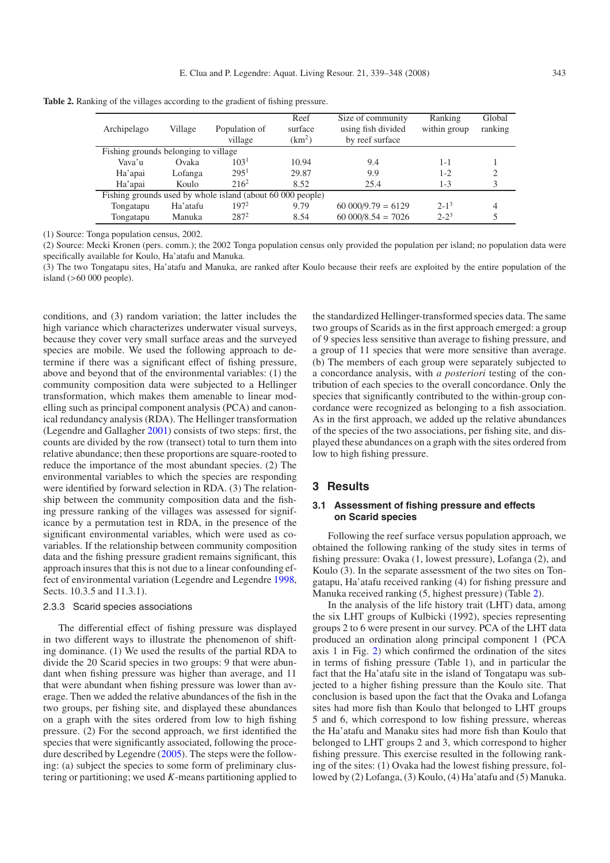|                                      |          |                                                            | Reef               | Size of community     | Ranking      | Global  |  |
|--------------------------------------|----------|------------------------------------------------------------|--------------------|-----------------------|--------------|---------|--|
| Archipelago                          | Village  | Population of                                              | surface            | using fish divided    | within group | ranking |  |
|                                      |          | village                                                    | (km <sup>2</sup> ) | by reef surface       |              |         |  |
| Fishing grounds belonging to village |          |                                                            |                    |                       |              |         |  |
| Vava'u                               | Ovaka    | 103 <sup>1</sup>                                           | 10.94              | 9.4                   | $1 - 1$      |         |  |
| Ha'apai                              | Lofanga  | 295 <sup>1</sup>                                           | 29.87              | 9.9                   | $1 - 2$      | 2       |  |
| Ha'apai                              | Koulo    | $216^2$                                                    | 8.52               | 25.4                  | $1 - 3$      | 3       |  |
|                                      |          | Fishing grounds used by whole island (about 60 000 people) |                    |                       |              |         |  |
| Tongatapu                            | Ha'atafu | $197^2$                                                    | 9.79               | $60\,000/9.79 = 6129$ | $2 - 1^3$    | 4       |  |
| Tongatapu                            | Manuka   | $287^2$                                                    | 8.54               | $60\,000/8.54 = 7026$ | $2 - 2^3$    |         |  |
|                                      |          |                                                            |                    |                       |              |         |  |

<span id="page-4-0"></span>**Table 2.** Ranking of the villages according to the gradient of fishing pressure.

(1) Source: Tonga population census, 2002.

(2) Source: Mecki Kronen (pers. comm.); the 2002 Tonga population census only provided the population per island; no population data were specifically available for Koulo, Ha'atafu and Manuka.

(3) The two Tongatapu sites, Ha'atafu and Manuka, are ranked after Koulo because their reefs are exploited by the entire population of the island (>60 000 people).

conditions, and (3) random variation; the latter includes the high variance which characterizes underwater visual surveys, because they cover very small surface areas and the surveyed species are mobile. We used the following approach to determine if there was a significant effect of fishing pressure, above and beyond that of the environmental variables: (1) the community composition data were subjected to a Hellinger transformation, which makes them amenable to linear modelling such as principal component analysis (PCA) and canonical redundancy analysis (RDA). The Hellinger transformation (Legendre and Gallagher [2001\)](#page-9-18) consists of two steps: first, the counts are divided by the row (transect) total to turn them into relative abundance; then these proportions are square-rooted to reduce the importance of the most abundant species. (2) The environmental variables to which the species are responding were identified by forward selection in RDA. (3) The relationship between the community composition data and the fishing pressure ranking of the villages was assessed for significance by a permutation test in RDA, in the presence of the significant environmental variables, which were used as covariables. If the relationship between community composition data and the fishing pressure gradient remains significant, this approach insures that this is not due to a linear confounding effect of environmental variation (Legendre and Legendre [1998,](#page-9-19) Sects. 10.3.5 and 11.3.1).

### 2.3.3 Scarid species associations

The differential effect of fishing pressure was displayed in two different ways to illustrate the phenomenon of shifting dominance. (1) We used the results of the partial RDA to divide the 20 Scarid species in two groups: 9 that were abundant when fishing pressure was higher than average, and 11 that were abundant when fishing pressure was lower than average. Then we added the relative abundances of the fish in the two groups, per fishing site, and displayed these abundances on a graph with the sites ordered from low to high fishing pressure. (2) For the second approach, we first identified the species that were significantly associated, following the procedure described by Legendre [\(2005\)](#page-9-20). The steps were the following: (a) subject the species to some form of preliminary clustering or partitioning; we used *K*-means partitioning applied to

the standardized Hellinger-transformed species data. The same two groups of Scarids as in the first approach emerged: a group of 9 species less sensitive than average to fishing pressure, and a group of 11 species that were more sensitive than average. (b) The members of each group were separately subjected to a concordance analysis, with *a posteriori* testing of the contribution of each species to the overall concordance. Only the species that significantly contributed to the within-group concordance were recognized as belonging to a fish association. As in the first approach, we added up the relative abundances of the species of the two associations, per fishing site, and displayed these abundances on a graph with the sites ordered from low to high fishing pressure.

# **3 Results**

#### **3.1 Assessment of fishing pressure and effects on Scarid species**

Following the reef surface versus population approach, we obtained the following ranking of the study sites in terms of fishing pressure: Ovaka (1, lowest pressure), Lofanga (2), and Koulo (3). In the separate assessment of the two sites on Tongatapu, Ha'atafu received ranking (4) for fishing pressure and Manuka received ranking (5, highest pressure) (Table [2\)](#page-4-0).

In the analysis of the life history trait (LHT) data, among the six LHT groups of Kulbicki (1992), species representing groups 2 to 6 were present in our survey. PCA of the LHT data produced an ordination along principal component 1 (PCA axis 1 in Fig. [2\)](#page-5-0) which confirmed the ordination of the sites in terms of fishing pressure (Table 1), and in particular the fact that the Ha'atafu site in the island of Tongatapu was subjected to a higher fishing pressure than the Koulo site. That conclusion is based upon the fact that the Ovaka and Lofanga sites had more fish than Koulo that belonged to LHT groups 5 and 6, which correspond to low fishing pressure, whereas the Ha'atafu and Manaku sites had more fish than Koulo that belonged to LHT groups 2 and 3, which correspond to higher fishing pressure. This exercise resulted in the following ranking of the sites: (1) Ovaka had the lowest fishing pressure, followed by (2) Lofanga, (3) Koulo, (4) Ha'atafu and (5) Manuka.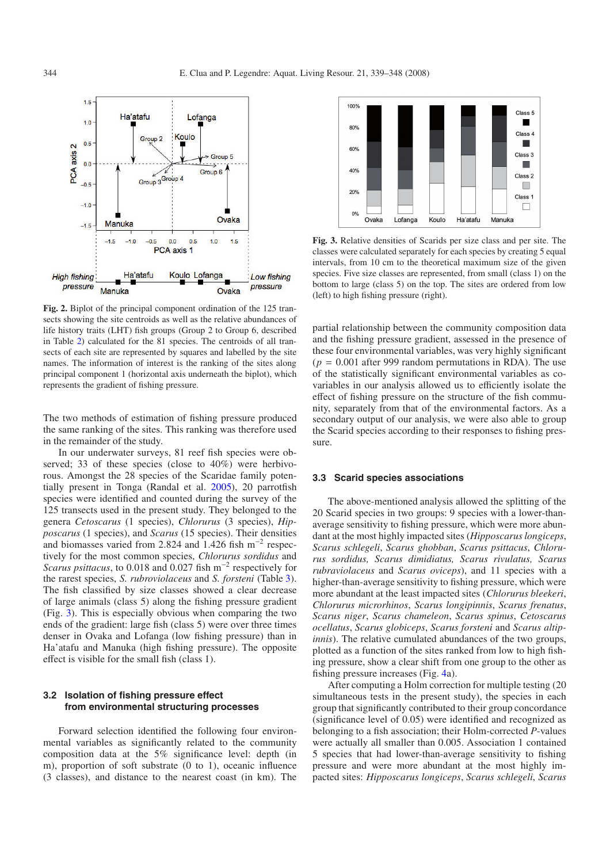<span id="page-5-0"></span>

**Fig. 2.** Biplot of the principal component ordination of the 125 transects showing the site centroids as well as the relative abundances of life history traits (LHT) fish groups (Group 2 to Group 6, described in Table [2\)](#page-4-0) calculated for the 81 species. The centroids of all transects of each site are represented by squares and labelled by the site names. The information of interest is the ranking of the sites along principal component 1 (horizontal axis underneath the biplot), which represents the gradient of fishing pressure.

The two methods of estimation of fishing pressure produced the same ranking of the sites. This ranking was therefore used in the remainder of the study.

In our underwater surveys, 81 reef fish species were observed; 33 of these species (close to 40%) were herbivorous. Amongst the 28 species of the Scaridae family potentially present in Tonga (Randal et al. [2005\)](#page-9-21), 20 parrotfish species were identified and counted during the survey of the 125 transects used in the present study. They belonged to the genera *Cetoscarus* (1 species), *Chlorurus* (3 species), *Hipposcarus* (1 species), and *Scarus* (15 species). Their densities and biomasses varied from 2.824 and 1.426 fish m−<sup>2</sup> respectively for the most common species, *Chlorurus sordidus* and *Scarus psittacus*, to 0.018 and 0.027 fish m−<sup>2</sup> respectively for the rarest species, *S. rubroviolaceus* and *S. forsteni* (Table [3\)](#page-6-0). The fish classified by size classes showed a clear decrease of large animals (class 5) along the fishing pressure gradient (Fig. [3\)](#page-5-1). This is especially obvious when comparing the two ends of the gradient: large fish (class 5) were over three times denser in Ovaka and Lofanga (low fishing pressure) than in Ha'atafu and Manuka (high fishing pressure). The opposite effect is visible for the small fish (class 1).

#### **3.2 Isolation of fishing pressure effect from environmental structuring processes**

Forward selection identified the following four environmental variables as significantly related to the community composition data at the 5% significance level: depth (in m), proportion of soft substrate (0 to 1), oceanic influence (3 classes), and distance to the nearest coast (in km). The

<span id="page-5-1"></span>

**Fig. 3.** Relative densities of Scarids per size class and per site. The classes were calculated separately for each species by creating 5 equal intervals, from 10 cm to the theoretical maximum size of the given species. Five size classes are represented, from small (class 1) on the bottom to large (class 5) on the top. The sites are ordered from low (left) to high fishing pressure (right).

partial relationship between the community composition data and the fishing pressure gradient, assessed in the presence of these four environmental variables, was very highly significant  $(p = 0.001$  after 999 random permutations in RDA). The use of the statistically significant environmental variables as covariables in our analysis allowed us to efficiently isolate the effect of fishing pressure on the structure of the fish community, separately from that of the environmental factors. As a secondary output of our analysis, we were also able to group the Scarid species according to their responses to fishing pressure.

#### **3.3 Scarid species associations**

The above-mentioned analysis allowed the splitting of the 20 Scarid species in two groups: 9 species with a lower-thanaverage sensitivity to fishing pressure, which were more abundant at the most highly impacted sites (*Hipposcarus longiceps*, *Scarus schlegeli*, *Scarus ghobban*, *Scarus psittacus*, *Chlorurus sordidus, Scarus dimidiatus, Scarus rivulatus, Scarus rubraviolaceus* and *Scarus oviceps*), and 11 species with a higher-than-average sensitivity to fishing pressure, which were more abundant at the least impacted sites (*Chlorurus bleekeri*, *Chlorurus microrhinos*, *Scarus longipinnis*, *Scarus frenatus*, *Scarus niger*, *Scarus chameleon*, *Scarus spinus*, *Cetoscarus ocellatus*, *Scarus globiceps*, *Scarus forsteni* and *Scarus altipinnis*). The relative cumulated abundances of the two groups, plotted as a function of the sites ranked from low to high fishing pressure, show a clear shift from one group to the other as fishing pressure increases (Fig. [4a](#page-7-0)).

After computing a Holm correction for multiple testing (20 simultaneous tests in the present study), the species in each group that significantly contributed to their group concordance (significance level of 0.05) were identified and recognized as belonging to a fish association; their Holm-corrected *P*-values were actually all smaller than 0.005. Association 1 contained 5 species that had lower-than-average sensitivity to fishing pressure and were more abundant at the most highly impacted sites: *Hipposcarus longiceps*, *Scarus schlegeli*, *Scarus*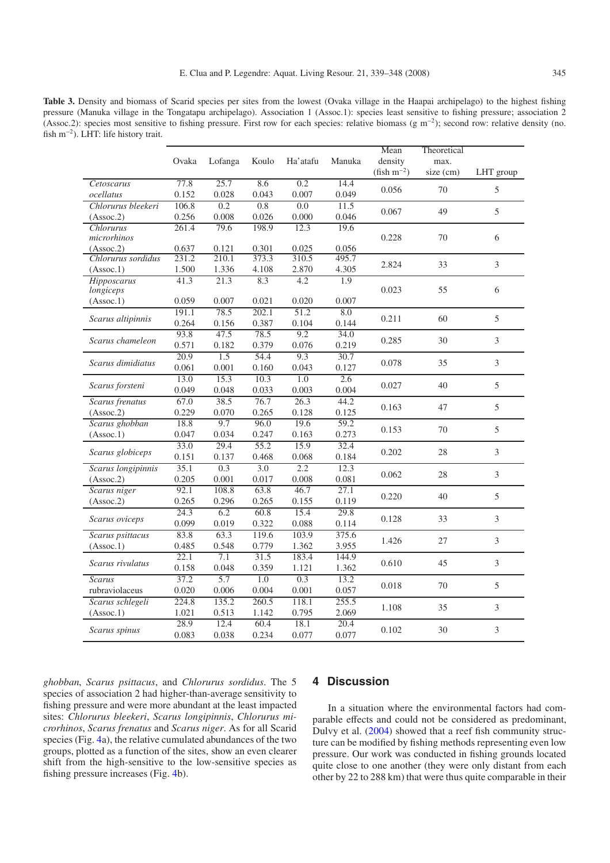<span id="page-6-0"></span>**Table 3.** Density and biomass of Scarid species per sites from the lowest (Ovaka village in the Haapai archipelago) to the highest fishing pressure (Manuka village in the Tongatapu archipelago). Association 1 (Assoc.1): species least sensitive to fishing pressure; association 2 (Assoc.2): species most sensitive to fishing pressure. First row for each species: relative biomass (g m−2); second row: relative density (no. fish m−2). LHT: life history trait.

|                    |       |         |       |                   |        | Mean                       | Theoretical       |                     |
|--------------------|-------|---------|-------|-------------------|--------|----------------------------|-------------------|---------------------|
|                    |       |         | Koulo |                   | Manuka |                            |                   |                     |
|                    | Ovaka | Lofanga |       | Ha'atafu          |        | density<br>$(fish m^{-2})$ | max.<br>size (cm) |                     |
| Cetoscarus         | 77.8  | 25.7    | 8.6   | 0.2               | 14.4   |                            |                   | LHT group           |
| ocellatus          | 0.152 | 0.028   | 0.043 | 0.007             | 0.049  | 0.056                      | 70                | 5                   |
| Chlorurus bleekeri | 106.8 | 0.2     | 0.8   | 0.0               | 11.5   |                            |                   |                     |
| (Assoc.2)          | 0.256 | 0.008   | 0.026 | 0.000             | 0.046  | 0.067                      | 49                | 5                   |
| Chlorurus          | 261.4 | 79.6    | 198.9 | 12.3              | 19.6   |                            |                   |                     |
| microrhinos        |       |         |       |                   |        | 0.228                      | 70                | 6                   |
| (Assoc.2)          | 0.637 | 0.121   | 0.301 | 0.025             | 0.056  |                            |                   |                     |
| Chlorurus sordidus | 231.2 | 210.1   | 373.3 | 310.5             | 495.7  |                            |                   |                     |
| (Assoc.1)          | 1.500 | 1.336   | 4.108 | 2.870             | 4.305  | 2.824                      | 33                | $\mathfrak{Z}$      |
| Hipposcarus        | 41.3  | 21.3    | 8.3   | 4.2               | 1.9    |                            |                   |                     |
| longiceps          |       |         |       |                   |        | 0.023                      | 55                | 6                   |
| (Assoc.1)          | 0.059 | 0.007   | 0.021 | 0.020             | 0.007  |                            |                   |                     |
|                    | 191.1 | 78.5    | 202.1 | $\overline{51.2}$ | 8.0    |                            | 60                | 5                   |
| Scarus altipinnis  | 0.264 | 0.156   | 0.387 | 0.104             | 0.144  | 0.211                      |                   |                     |
|                    | 93.8  | 47.5    | 78.5  | 9.2               | 34.0   |                            | 30                | 3                   |
| Scarus chameleon   | 0.571 | 0.182   | 0.379 | 0.076             | 0.219  | 0.285                      |                   |                     |
|                    | 20.9  | 1.5     | 54.4  | 9.3               | 30.7   | 0.078                      | 35                | $\mathfrak{Z}$      |
| Scarus dimidiatus  | 0.061 | 0.001   | 0.160 | 0.043             | 0.127  |                            |                   |                     |
|                    | 13.0  | 15.3    | 10.3  | 1.0               | 2.6    | 0.027                      | 40                | 5                   |
| Scarus forsteni    | 0.049 | 0.048   | 0.033 | 0.003             | 0.004  |                            |                   |                     |
| Scarus frenatus    | 67.0  | 38.5    | 76.7  | 26.3              | 44.2   |                            | 47                | 5                   |
| (Assoc.2)          | 0.229 | 0.070   | 0.265 | 0.128             | 0.125  | 0.163                      |                   |                     |
| Scarus ghobban     | 18.8  | 9.7     | 96.0  | 19.6              | 59.2   |                            |                   |                     |
| (Assoc.1)          | 0.047 | 0.034   | 0.247 | 0.163             | 0.273  | 0.153                      | 70                | 5                   |
|                    | 33.0  | 29.4    | 55.2  | 15.9              | 32.4   | 0.202<br>0.062             | 28<br>28          | $\mathfrak{Z}$<br>3 |
| Scarus globiceps   | 0.151 | 0.137   | 0.468 | 0.068             | 0.184  |                            |                   |                     |
| Scarus longipinnis | 35.1  | 0.3     | 3.0   | $\overline{2.2}$  | 12.3   |                            |                   |                     |
| (Assoc.2)          | 0.205 | 0.001   | 0.017 | 0.008             | 0.081  |                            |                   |                     |
| Scarus niger       | 92.1  | 108.8   | 63.8  | 46.7              | 27.1   |                            | 40                |                     |
| (Assoc.2)          | 0.265 | 0.296   | 0.265 | 0.155             | 0.119  | 0.220                      |                   | 5                   |
|                    | 24.3  | 6.2     | 60.8  | 15.4              | 29.8   | 0.128                      | 33                | $\mathfrak 3$       |
| Scarus oviceps     | 0.099 | 0.019   | 0.322 | 0.088             | 0.114  |                            |                   |                     |
| Scarus psittacus   | 83.8  | 63.3    | 119.6 | 103.9             | 375.6  | 1.426                      | 27                | $\overline{3}$      |
| (Assoc.1)          | 0.485 | 0.548   | 0.779 | 1.362             | 3.955  |                            |                   |                     |
| Scarus rivulatus   | 22.1  | 7.1     | 31.5  | 183.4             | 144.9  | 0.610                      | 45                | $\mathfrak{Z}$      |
|                    | 0.158 | 0.048   | 0.359 | 1.121             | 1.362  |                            |                   |                     |
| <b>Scarus</b>      | 37.2  | 5.7     | 1.0   | 0.3               | 13.2   | 0.018                      | 70                | 5                   |
| rubraviolaceus     | 0.020 | 0.006   | 0.004 | 0.001             | 0.057  |                            |                   |                     |
| Scarus schlegeli   | 224.8 | 135.2   | 260.5 | 118.1             | 255.5  | 1.108                      | 35                | 3                   |
| (Assoc.1)          | 1.021 | 0.513   | 1.142 | 0.795             | 2.069  |                            |                   |                     |
|                    | 28.9  | 12.4    | 60.4  | 18.1              | 20.4   | 0.102                      | 30                | $\mathfrak 3$       |
| Scarus spinus      | 0.083 | 0.038   | 0.234 | 0.077             | 0.077  |                            |                   |                     |

*ghobban*, *Scarus psittacus*, and *Chlorurus sordidus*. The 5 species of association 2 had higher-than-average sensitivity to fishing pressure and were more abundant at the least impacted sites: *Chlorurus bleekeri*, *Scarus longipinnis*, *Chlorurus microrhinos*, *Scarus frenatus* and *Scarus niger*. As for all Scarid species (Fig. [4a](#page-7-0)), the relative cumulated abundances of the two groups, plotted as a function of the sites, show an even clearer shift from the high-sensitive to the low-sensitive species as fishing pressure increases (Fig. [4b](#page-7-0)).

# **4 Discussion**

In a situation where the environmental factors had comparable effects and could not be considered as predominant, Dulvy et al. [\(2004\)](#page-9-3) showed that a reef fish community structure can be modified by fishing methods representing even low pressure. Our work was conducted in fishing grounds located quite close to one another (they were only distant from each other by 22 to 288 km) that were thus quite comparable in their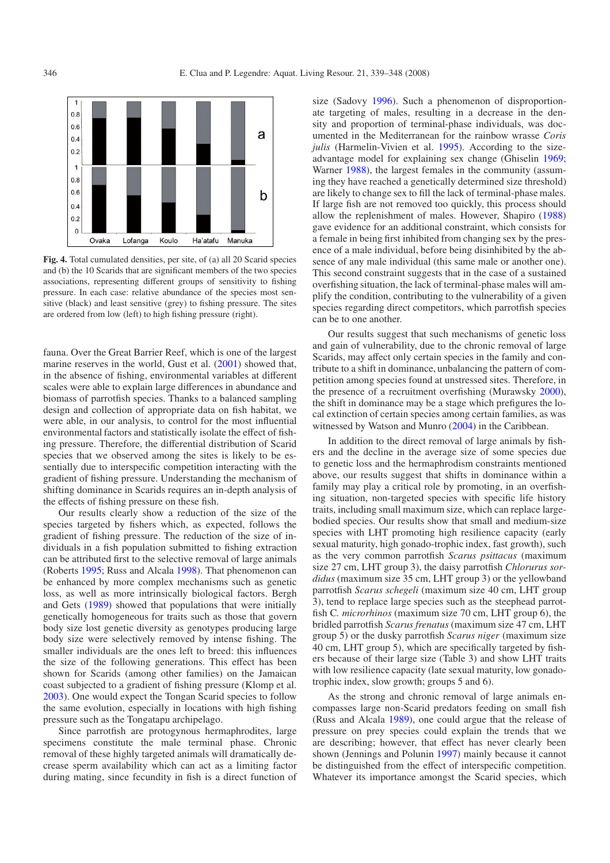<span id="page-7-0"></span>

**Fig. 4.** Total cumulated densities, per site, of (a) all 20 Scarid species and (b) the 10 Scarids that are significant members of the two species associations, representing different groups of sensitivity to fishing pressure. In each case: relative abundance of the species most sensitive (black) and least sensitive (grey) to fishing pressure. The sites are ordered from low (left) to high fishing pressure (right).

fauna. Over the Great Barrier Reef, which is one of the largest marine reserves in the world, Gust et al. [\(2001](#page-9-22)) showed that, in the absence of fishing, environmental variables at different scales were able to explain large differences in abundance and biomass of parrotfish species. Thanks to a balanced sampling design and collection of appropriate data on fish habitat, we were able, in our analysis, to control for the most influential environmental factors and statistically isolate the effect of fishing pressure. Therefore, the differential distribution of Scarid species that we observed among the sites is likely to be essentially due to interspecific competition interacting with the gradient of fishing pressure. Understanding the mechanism of shifting dominance in Scarids requires an in-depth analysis of the effects of fishing pressure on these fish.

Our results clearly show a reduction of the size of the species targeted by fishers which, as expected, follows the gradient of fishing pressure. The reduction of the size of individuals in a fish population submitted to fishing extraction can be attributed first to the selective removal of large animals (Roberts [1995](#page-9-23); Russ and Alcala [1998](#page-9-17)). That phenomenon can be enhanced by more complex mechanisms such as genetic loss, as well as more intrinsically biological factors. Bergh and Gets [\(1989\)](#page-8-3) showed that populations that were initially genetically homogeneous for traits such as those that govern body size lost genetic diversity as genotypes producing large body size were selectively removed by intense fishing. The smaller individuals are the ones left to breed: this influences the size of the following generations. This effect has been shown for Scarids (among other families) on the Jamaican coast subjected to a gradient of fishing pressure (Klomp et al. [2003](#page-9-24)). One would expect the Tongan Scarid species to follow the same evolution, especially in locations with high fishing pressure such as the Tongatapu archipelago.

Since parrotfish are protogynous hermaphrodites, large specimens constitute the male terminal phase. Chronic removal of these highly targeted animals will dramatically decrease sperm availability which can act as a limiting factor during mating, since fecundity in fish is a direct function of

size (Sadovy [1996\)](#page-9-25). Such a phenomenon of disproportionate targeting of males, resulting in a decrease in the density and proportion of terminal-phase individuals, was documented in the Mediterranean for the rainbow wrasse *Coris julis* (Harmelin-Vivien et al. [1995\)](#page-9-26). According to the sizeadvantage model for explaining sex change (Ghiselin [1969;](#page-9-27) Warner [1988](#page-9-28)), the largest females in the community (assuming they have reached a genetically determined size threshold) are likely to change sex to fill the lack of terminal-phase males. If large fish are not removed too quickly, this process should allow the replenishment of males. However, Shapiro [\(1988\)](#page-9-29) gave evidence for an additional constraint, which consists for a female in being first inhibited from changing sex by the presence of a male individual, before being disinhibited by the absence of any male individual (this same male or another one). This second constraint suggests that in the case of a sustained overfishing situation, the lack of terminal-phase males will amplify the condition, contributing to the vulnerability of a given species regarding direct competitors, which parrotfish species can be to one another.

Our results suggest that such mechanisms of genetic loss and gain of vulnerability, due to the chronic removal of large Scarids, may affect only certain species in the family and contribute to a shift in dominance, unbalancing the pattern of competition among species found at unstressed sites. Therefore, in the presence of a recruitment overfishing (Murawsky [2000\)](#page-9-30), the shift in dominance may be a stage which prefigures the local extinction of certain species among certain families, as was witnessed by Watson and Munro [\(2004](#page-9-31)) in the Caribbean.

In addition to the direct removal of large animals by fishers and the decline in the average size of some species due to genetic loss and the hermaphrodism constraints mentioned above, our results suggest that shifts in dominance within a family may play a critical role by promoting, in an overfishing situation, non-targeted species with specific life history traits, including small maximum size, which can replace largebodied species. Our results show that small and medium-size species with LHT promoting high resilience capacity (early sexual maturity, high gonado-trophic index, fast growth), such as the very common parrotfish *Scarus psittacus* (maximum size 27 cm, LHT group 3), the daisy parrotfish *Chlorurus sordidus* (maximum size 35 cm, LHT group 3) or the yellowband parrotfish *Scarus schegeli* (maximum size 40 cm, LHT group 3), tend to replace large species such as the steephead parrotfish C*. microrhinos* (maximum size 70 cm, LHT group 6), the bridled parrotfish *Scarus frenatus* (maximum size 47 cm, LHT group 5) or the dusky parrotfish *Scarus niger* (maximum size 40 cm, LHT group 5), which are specifically targeted by fishers because of their large size (Table 3) and show LHT traits with low resilience capacity (late sexual maturity, low gonadotrophic index, slow growth; groups 5 and 6).

As the strong and chronic removal of large animals encompasses large non-Scarid predators feeding on small fish (Russ and Alcala [1989\)](#page-9-32), one could argue that the release of pressure on prey species could explain the trends that we are describing; however, that effect has never clearly been shown (Jennings and Polunin [1997\)](#page-9-4) mainly because it cannot be distinguished from the effect of interspecific competition. Whatever its importance amongst the Scarid species, which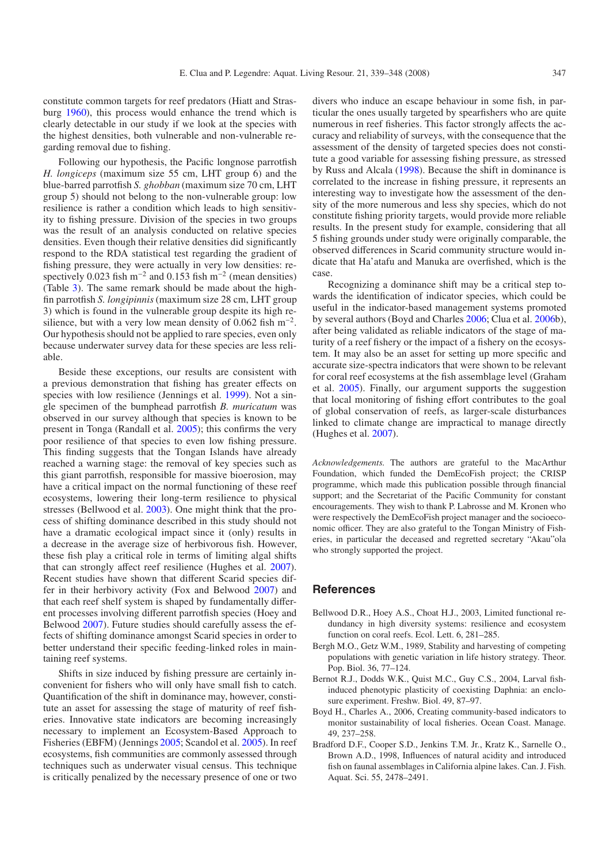constitute common targets for reef predators (Hiatt and Strasburg [1960](#page-9-33)), this process would enhance the trend which is clearly detectable in our study if we look at the species with the highest densities, both vulnerable and non-vulnerable regarding removal due to fishing.

Following our hypothesis, the Pacific longnose parrotfish *H. longiceps* (maximum size 55 cm, LHT group 6) and the blue-barred parrotfish *S. ghobban* (maximum size 70 cm, LHT group 5) should not belong to the non-vulnerable group: low resilience is rather a condition which leads to high sensitivity to fishing pressure. Division of the species in two groups was the result of an analysis conducted on relative species densities. Even though their relative densities did significantly respond to the RDA statistical test regarding the gradient of fishing pressure, they were actually in very low densities: respectively 0.023 fish m<sup>-2</sup> and 0.153 fish m<sup>-2</sup> (mean densities) (Table [3\)](#page-6-0). The same remark should be made about the highfin parrotfish *S. longipinnis*(maximum size 28 cm, LHT group 3) which is found in the vulnerable group despite its high resilience, but with a very low mean density of 0.062 fish  $m^{-2}$ . Our hypothesis should not be applied to rare species, even only because underwater survey data for these species are less reliable.

Beside these exceptions, our results are consistent with a previous demonstration that fishing has greater effects on species with low resilience (Jennings et al. [1999\)](#page-9-34). Not a single specimen of the bumphead parrotfish *B. muricatum* was observed in our survey although that species is known to be present in Tonga (Randall et al. [2005\)](#page-9-21); this confirms the very poor resilience of that species to even low fishing pressure. This finding suggests that the Tongan Islands have already reached a warning stage: the removal of key species such as this giant parrotfish, responsible for massive bioerosion, may have a critical impact on the normal functioning of these reef ecosystems, lowering their long-term resilience to physical stresses (Bellwood et al. [2003\)](#page-8-0). One might think that the process of shifting dominance described in this study should not have a dramatic ecological impact since it (only) results in a decrease in the average size of herbivorous fish. However, these fish play a critical role in terms of limiting algal shifts that can strongly affect reef resilience (Hughes et al. [2007\)](#page-9-35). Recent studies have shown that different Scarid species differ in their herbivory activity (Fox and Belwood [2007\)](#page-9-36) and that each reef shelf system is shaped by fundamentally different processes involving different parrotfish species (Hoey and Belwood [2007\)](#page-9-37). Future studies should carefully assess the effects of shifting dominance amongst Scarid species in order to better understand their specific feeding-linked roles in maintaining reef systems.

Shifts in size induced by fishing pressure are certainly inconvenient for fishers who will only have small fish to catch. Quantification of the shift in dominance may, however, constitute an asset for assessing the stage of maturity of reef fisheries. Innovative state indicators are becoming increasingly necessary to implement an Ecosystem-Based Approach to Fisheries (EBFM) (Jennings [2005](#page-9-38); Scandol et al. [2005\)](#page-9-39). In reef ecosystems, fish communities are commonly assessed through techniques such as underwater visual census. This technique is critically penalized by the necessary presence of one or two

divers who induce an escape behaviour in some fish, in particular the ones usually targeted by spearfishers who are quite numerous in reef fisheries. This factor strongly affects the accuracy and reliability of surveys, with the consequence that the assessment of the density of targeted species does not constitute a good variable for assessing fishing pressure, as stressed by Russ and Alcala [\(1998\)](#page-9-17). Because the shift in dominance is correlated to the increase in fishing pressure, it represents an interesting way to investigate how the assessment of the density of the more numerous and less shy species, which do not constitute fishing priority targets, would provide more reliable results. In the present study for example, considering that all 5 fishing grounds under study were originally comparable, the observed differences in Scarid community structure would indicate that Ha'atafu and Manuka are overfished, which is the case.

Recognizing a dominance shift may be a critical step towards the identification of indicator species, which could be useful in the indicator-based management systems promoted by several authors (Boyd and Charles [2006;](#page-8-4) Clua et al. [2006b](#page-9-40)), after being validated as reliable indicators of the stage of maturity of a reef fishery or the impact of a fishery on the ecosystem. It may also be an asset for setting up more specific and accurate size-spectra indicators that were shown to be relevant for coral reef ecosystems at the fish assemblage level (Graham et al. [2005\)](#page-9-41). Finally, our argument supports the suggestion that local monitoring of fishing effort contributes to the goal of global conservation of reefs, as larger-scale disturbances linked to climate change are impractical to manage directly (Hughes et al. [2007\)](#page-9-35).

*Acknowledgements.* The authors are grateful to the MacArthur Foundation, which funded the DemEcoFish project; the CRISP programme, which made this publication possible through financial support; and the Secretariat of the Pacific Community for constant encouragements. They wish to thank P. Labrosse and M. Kronen who were respectively the DemEcoFish project manager and the socioeconomic officer. They are also grateful to the Tongan Ministry of Fisheries, in particular the deceased and regretted secretary "Akau"ola who strongly supported the project.

# **References**

- <span id="page-8-0"></span>Bellwood D.R., Hoey A.S., Choat H.J., 2003, Limited functional redundancy in high diversity systems: resilience and ecosystem function on coral reefs. Ecol. Lett. 6, 281–285.
- <span id="page-8-3"></span>Bergh M.O., Getz W.M., 1989, Stability and harvesting of competing populations with genetic variation in life history strategy. Theor. Pop. Biol. 36, 77–124.
- <span id="page-8-2"></span>Bernot R.J., Dodds W.K., Quist M.C., Guy C.S., 2004, Larval fishinduced phenotypic plasticity of coexisting Daphnia: an enclosure experiment. Freshw. Biol. 49, 87–97.
- <span id="page-8-4"></span>Boyd H., Charles A., 2006, Creating community-based indicators to monitor sustainability of local fisheries. Ocean Coast. Manage. 49, 237–258.
- <span id="page-8-1"></span>Bradford D.F., Cooper S.D., Jenkins T.M. Jr., Kratz K., Sarnelle O., Brown A.D., 1998, Influences of natural acidity and introduced fish on faunal assemblages in California alpine lakes. Can. J. Fish. Aquat. Sci. 55, 2478–2491.